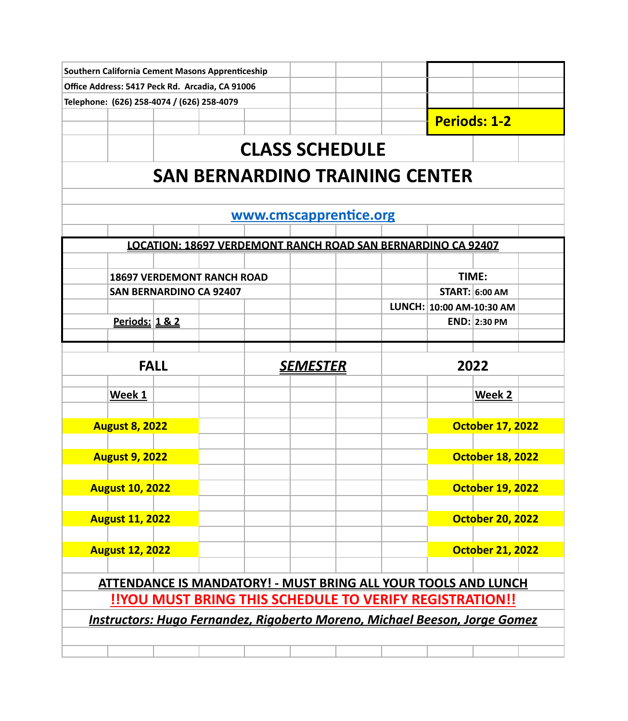|                                                                                   |                        | <b>Southern California Cement Masons Apprenticeship</b> |  |  |                 |                                                              |  |                          |                         |  |
|-----------------------------------------------------------------------------------|------------------------|---------------------------------------------------------|--|--|-----------------|--------------------------------------------------------------|--|--------------------------|-------------------------|--|
| Office Address: 5417 Peck Rd. Arcadia, CA 91006                                   |                        |                                                         |  |  |                 |                                                              |  |                          |                         |  |
|                                                                                   |                        | Telephone: (626) 258-4074 / (626) 258-4079              |  |  |                 |                                                              |  |                          |                         |  |
|                                                                                   |                        |                                                         |  |  |                 |                                                              |  |                          | <b>Periods: 1-2</b>     |  |
|                                                                                   |                        |                                                         |  |  |                 | <b>CLASS SCHEDULE</b>                                        |  |                          |                         |  |
|                                                                                   |                        |                                                         |  |  |                 | <b>SAN BERNARDINO TRAINING CENTER</b>                        |  |                          |                         |  |
|                                                                                   |                        |                                                         |  |  |                 |                                                              |  |                          |                         |  |
|                                                                                   |                        |                                                         |  |  |                 | www.cmscapprentice.org                                       |  |                          |                         |  |
|                                                                                   |                        |                                                         |  |  |                 | LOCATION: 18697 VERDEMONT RANCH ROAD SAN BERNARDINO CA 92407 |  |                          |                         |  |
|                                                                                   |                        |                                                         |  |  |                 |                                                              |  |                          |                         |  |
|                                                                                   |                        | <b>18697 VERDEMONT RANCH ROAD</b>                       |  |  |                 |                                                              |  |                          | TIME:                   |  |
|                                                                                   |                        | <b>SAN BERNARDINO CA 92407</b>                          |  |  |                 |                                                              |  |                          | <b>START: 6:00 AM</b>   |  |
|                                                                                   |                        |                                                         |  |  |                 |                                                              |  | LUNCH: 10:00 AM-10:30 AM |                         |  |
|                                                                                   | Periods: 1 & 2         |                                                         |  |  |                 |                                                              |  |                          | <b>END: 2:30 PM</b>     |  |
|                                                                                   |                        |                                                         |  |  |                 |                                                              |  |                          |                         |  |
|                                                                                   |                        | <b>FALL</b>                                             |  |  | <u>SEMESTER</u> |                                                              |  |                          | 2022                    |  |
|                                                                                   | Week 1                 |                                                         |  |  |                 |                                                              |  |                          | Week 2                  |  |
|                                                                                   |                        |                                                         |  |  |                 |                                                              |  |                          |                         |  |
|                                                                                   | <b>August 8, 2022</b>  |                                                         |  |  |                 |                                                              |  |                          | <b>October 17, 2022</b> |  |
|                                                                                   | <b>August 9, 2022</b>  |                                                         |  |  |                 |                                                              |  |                          | <b>October 18, 2022</b> |  |
|                                                                                   | <b>August 10, 2022</b> |                                                         |  |  |                 |                                                              |  |                          | <b>October 19, 2022</b> |  |
|                                                                                   |                        |                                                         |  |  |                 |                                                              |  |                          |                         |  |
|                                                                                   | <b>August 11, 2022</b> |                                                         |  |  |                 |                                                              |  |                          | <b>October 20, 2022</b> |  |
|                                                                                   | <b>August 12, 2022</b> |                                                         |  |  |                 |                                                              |  |                          | <b>October 21, 2022</b> |  |
| <b>ATTENDANCE IS MANDATORY! - MUST BRING ALL YOUR TOOLS AND LUNCH</b>             |                        |                                                         |  |  |                 |                                                              |  |                          |                         |  |
|                                                                                   |                        |                                                         |  |  |                 | !!YOU MUST BRING THIS SCHEDULE TO VERIFY REGISTRATION!!      |  |                          |                         |  |
| <b>Instructors: Hugo Fernandez, Rigoberto Moreno, Michael Beeson, Jorge Gomez</b> |                        |                                                         |  |  |                 |                                                              |  |                          |                         |  |
|                                                                                   |                        |                                                         |  |  |                 |                                                              |  |                          |                         |  |
|                                                                                   |                        |                                                         |  |  |                 |                                                              |  |                          |                         |  |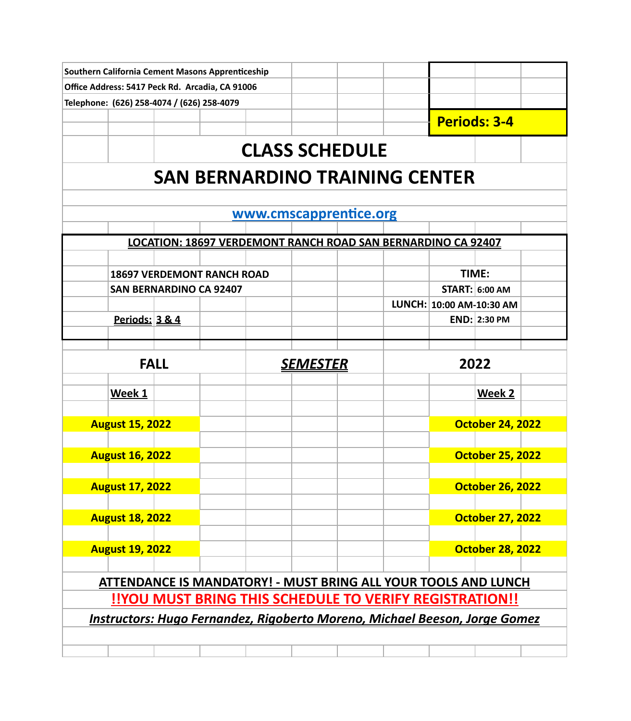|                                                                                   |                        |                                            | Southern California Cement Masons Apprenticeship |  |  |                                                              |      |                          |                         |  |  |
|-----------------------------------------------------------------------------------|------------------------|--------------------------------------------|--------------------------------------------------|--|--|--------------------------------------------------------------|------|--------------------------|-------------------------|--|--|
|                                                                                   |                        |                                            | Office Address: 5417 Peck Rd. Arcadia, CA 91006  |  |  |                                                              |      |                          |                         |  |  |
|                                                                                   |                        | Telephone: (626) 258-4074 / (626) 258-4079 |                                                  |  |  |                                                              |      |                          |                         |  |  |
|                                                                                   |                        |                                            |                                                  |  |  |                                                              |      |                          | <b>Periods: 3-4</b>     |  |  |
|                                                                                   |                        |                                            |                                                  |  |  |                                                              |      |                          |                         |  |  |
|                                                                                   |                        |                                            |                                                  |  |  | <b>CLASS SCHEDULE</b>                                        |      |                          |                         |  |  |
| <b>SAN BERNARDINO TRAINING CENTER</b>                                             |                        |                                            |                                                  |  |  |                                                              |      |                          |                         |  |  |
| www.cmscapprentice.org                                                            |                        |                                            |                                                  |  |  |                                                              |      |                          |                         |  |  |
|                                                                                   |                        |                                            |                                                  |  |  |                                                              |      |                          |                         |  |  |
|                                                                                   |                        |                                            |                                                  |  |  | LOCATION: 18697 VERDEMONT RANCH ROAD SAN BERNARDINO CA 92407 |      |                          |                         |  |  |
|                                                                                   |                        |                                            | <b>18697 VERDEMONT RANCH ROAD</b>                |  |  |                                                              |      | TIME:                    |                         |  |  |
|                                                                                   |                        | <b>SAN BERNARDINO CA 92407</b>             |                                                  |  |  |                                                              |      |                          | <b>START: 6:00 AM</b>   |  |  |
|                                                                                   |                        |                                            |                                                  |  |  |                                                              |      | LUNCH: 10:00 AM-10:30 AM |                         |  |  |
|                                                                                   | Periods: 3 & 4         |                                            |                                                  |  |  |                                                              |      |                          | END: 2:30 PM            |  |  |
|                                                                                   |                        |                                            |                                                  |  |  |                                                              |      |                          |                         |  |  |
|                                                                                   |                        |                                            |                                                  |  |  |                                                              |      |                          |                         |  |  |
| <b>FALL</b>                                                                       |                        |                                            | <u>SEMESTER</u>                                  |  |  |                                                              | 2022 |                          |                         |  |  |
|                                                                                   | Week 1                 |                                            |                                                  |  |  |                                                              |      |                          | Week 2                  |  |  |
|                                                                                   |                        |                                            |                                                  |  |  |                                                              |      |                          |                         |  |  |
|                                                                                   | <b>August 15, 2022</b> |                                            |                                                  |  |  |                                                              |      |                          | <b>October 24, 2022</b> |  |  |
|                                                                                   |                        |                                            |                                                  |  |  |                                                              |      |                          |                         |  |  |
|                                                                                   | <b>August 16, 2022</b> |                                            |                                                  |  |  |                                                              |      |                          | <b>October 25, 2022</b> |  |  |
|                                                                                   |                        |                                            |                                                  |  |  |                                                              |      |                          |                         |  |  |
|                                                                                   | <b>August 17, 2022</b> |                                            |                                                  |  |  |                                                              |      |                          | <b>October 26, 2022</b> |  |  |
|                                                                                   |                        |                                            |                                                  |  |  |                                                              |      |                          |                         |  |  |
|                                                                                   | <b>August 18, 2022</b> |                                            |                                                  |  |  |                                                              |      |                          | <b>October 27, 2022</b> |  |  |
|                                                                                   |                        |                                            |                                                  |  |  |                                                              |      |                          |                         |  |  |
|                                                                                   | <b>August 19, 2022</b> |                                            |                                                  |  |  |                                                              |      |                          | <b>October 28, 2022</b> |  |  |
| <b>ATTENDANCE IS MANDATORY! - MUST BRING ALL YOUR TOOLS AND LUNCH</b>             |                        |                                            |                                                  |  |  |                                                              |      |                          |                         |  |  |
| !!YOU MUST BRING THIS SCHEDULE TO VERIFY REGISTRATION!!                           |                        |                                            |                                                  |  |  |                                                              |      |                          |                         |  |  |
|                                                                                   |                        |                                            |                                                  |  |  |                                                              |      |                          |                         |  |  |
| <b>Instructors: Hugo Fernandez, Rigoberto Moreno, Michael Beeson, Jorge Gomez</b> |                        |                                            |                                                  |  |  |                                                              |      |                          |                         |  |  |
|                                                                                   |                        |                                            |                                                  |  |  |                                                              |      |                          |                         |  |  |
|                                                                                   |                        |                                            |                                                  |  |  |                                                              |      |                          |                         |  |  |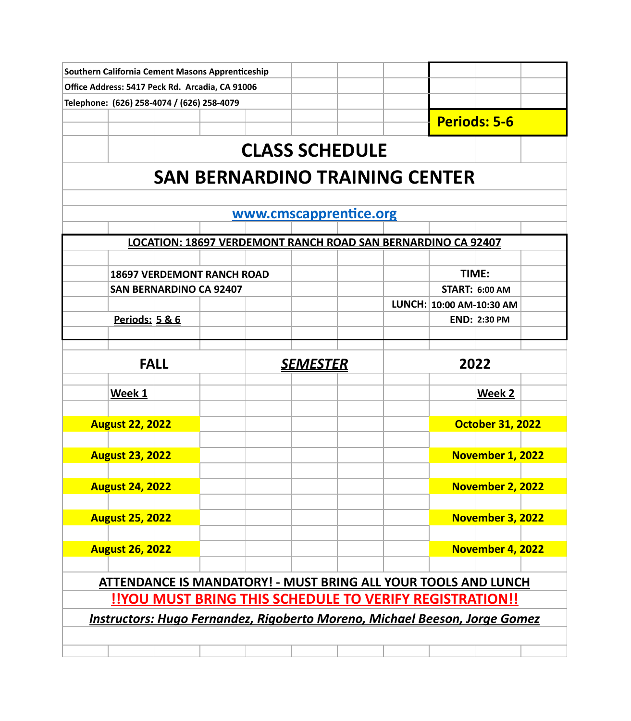| Southern California Cement Masons Apprenticeship                           |                           |                                            |                                                                     |  |  |                       |      |                          |                         |  |
|----------------------------------------------------------------------------|---------------------------|--------------------------------------------|---------------------------------------------------------------------|--|--|-----------------------|------|--------------------------|-------------------------|--|
|                                                                            |                           |                                            | Office Address: 5417 Peck Rd. Arcadia, CA 91006                     |  |  |                       |      |                          |                         |  |
|                                                                            |                           | Telephone: (626) 258-4074 / (626) 258-4079 |                                                                     |  |  |                       |      |                          |                         |  |
|                                                                            |                           |                                            |                                                                     |  |  |                       |      |                          | <b>Periods: 5-6</b>     |  |
|                                                                            |                           |                                            |                                                                     |  |  |                       |      |                          |                         |  |
|                                                                            |                           |                                            |                                                                     |  |  | <b>CLASS SCHEDULE</b> |      |                          |                         |  |
| <b>SAN BERNARDINO TRAINING CENTER</b>                                      |                           |                                            |                                                                     |  |  |                       |      |                          |                         |  |
| www.cmscapprentice.org                                                     |                           |                                            |                                                                     |  |  |                       |      |                          |                         |  |
|                                                                            |                           |                                            |                                                                     |  |  |                       |      |                          |                         |  |
|                                                                            |                           |                                            | <b>LOCATION: 18697 VERDEMONT RANCH ROAD SAN BERNARDINO CA 92407</b> |  |  |                       |      |                          |                         |  |
|                                                                            |                           |                                            |                                                                     |  |  |                       |      |                          |                         |  |
|                                                                            |                           |                                            | <b>18697 VERDEMONT RANCH ROAD</b>                                   |  |  |                       |      | TIME:                    |                         |  |
|                                                                            |                           | <b>SAN BERNARDINO CA 92407</b>             |                                                                     |  |  |                       |      |                          | <b>START: 6:00 AM</b>   |  |
|                                                                            |                           |                                            |                                                                     |  |  |                       |      | LUNCH: 10:00 AM-10:30 AM |                         |  |
|                                                                            | <u>Periods: 5 &amp; 6</u> |                                            |                                                                     |  |  |                       |      |                          | <b>END: 2:30 PM</b>     |  |
|                                                                            |                           |                                            |                                                                     |  |  |                       |      |                          |                         |  |
|                                                                            | <b>FALL</b>               |                                            |                                                                     |  |  | <u>SEMESTER</u>       | 2022 |                          |                         |  |
|                                                                            | Week 1                    |                                            |                                                                     |  |  |                       |      |                          | Week 2                  |  |
|                                                                            |                           |                                            |                                                                     |  |  |                       |      |                          |                         |  |
|                                                                            | <b>August 22, 2022</b>    |                                            |                                                                     |  |  |                       |      |                          | <b>October 31, 2022</b> |  |
|                                                                            | <b>August 23, 2022</b>    |                                            |                                                                     |  |  |                       |      |                          | November 1, 2022        |  |
|                                                                            |                           |                                            |                                                                     |  |  |                       |      |                          |                         |  |
|                                                                            | <b>August 24, 2022</b>    |                                            |                                                                     |  |  |                       |      |                          | November 2, 2022        |  |
|                                                                            | <b>August 25, 2022</b>    |                                            |                                                                     |  |  |                       |      |                          | November 3, 2022        |  |
|                                                                            | <b>August 26, 2022</b>    |                                            |                                                                     |  |  |                       |      |                          | November 4, 2022        |  |
|                                                                            |                           |                                            |                                                                     |  |  |                       |      |                          |                         |  |
| <b>ATTENDANCE IS MANDATORY! - MUST BRING ALL YOUR TOOLS AND LUNCH</b>      |                           |                                            |                                                                     |  |  |                       |      |                          |                         |  |
| !!YOU MUST BRING THIS SCHEDULE TO VERIFY REGISTRATION!!                    |                           |                                            |                                                                     |  |  |                       |      |                          |                         |  |
| Instructors: Hugo Fernandez, Rigoberto Moreno, Michael Beeson, Jorge Gomez |                           |                                            |                                                                     |  |  |                       |      |                          |                         |  |
|                                                                            |                           |                                            |                                                                     |  |  |                       |      |                          |                         |  |
|                                                                            |                           |                                            |                                                                     |  |  |                       |      |                          |                         |  |